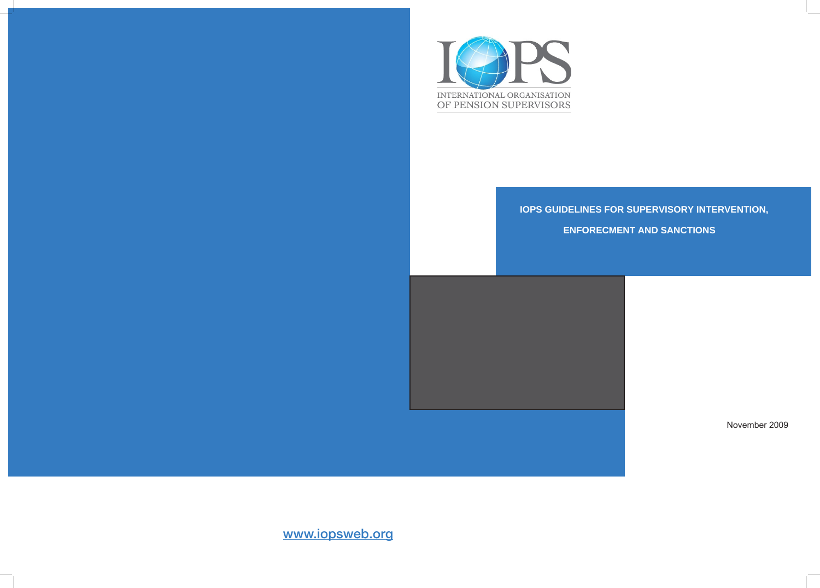

# **IOPS GUIDELINES FOR SUPERVISORY INTERVENTION,**

# **ENFORECMENT AND SANCTIONS**



November 2009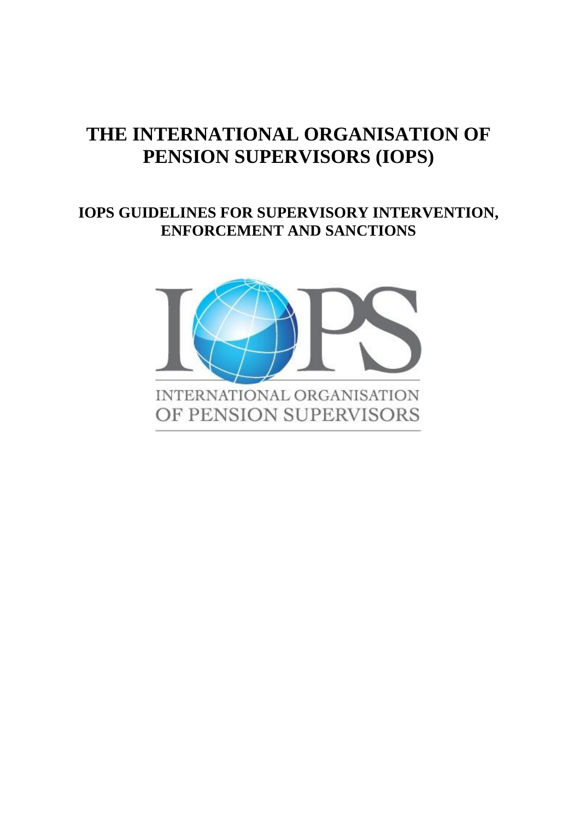# **THE INTERNATIONAL ORGANISATION OF PENSION SUPERVISORS (IOPS)**

# **IOPS GUIDELINES FOR SUPERVISORY INTERVENTION, ENFORCEMENT AND SANCTIONS**

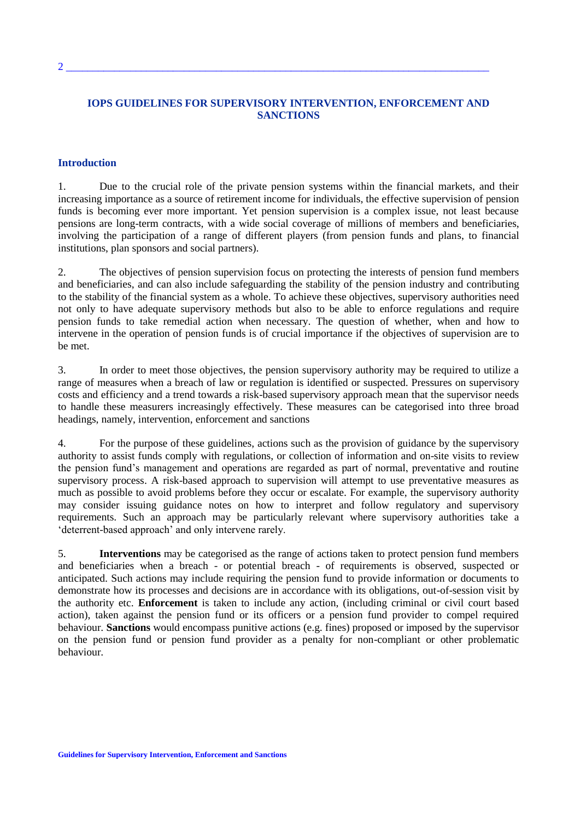# **IOPS GUIDELINES FOR SUPERVISORY INTERVENTION, ENFORCEMENT AND SANCTIONS**

#### **Introduction**

1. Due to the crucial role of the private pension systems within the financial markets, and their increasing importance as a source of retirement income for individuals, the effective supervision of pension funds is becoming ever more important. Yet pension supervision is a complex issue, not least because pensions are long-term contracts, with a wide social coverage of millions of members and beneficiaries, involving the participation of a range of different players (from pension funds and plans, to financial institutions, plan sponsors and social partners).

2. The objectives of pension supervision focus on protecting the interests of pension fund members and beneficiaries, and can also include safeguarding the stability of the pension industry and contributing to the stability of the financial system as a whole. To achieve these objectives, supervisory authorities need not only to have adequate supervisory methods but also to be able to enforce regulations and require pension funds to take remedial action when necessary. The question of whether, when and how to intervene in the operation of pension funds is of crucial importance if the objectives of supervision are to be met.

3. In order to meet those objectives, the pension supervisory authority may be required to utilize a range of measures when a breach of law or regulation is identified or suspected. Pressures on supervisory costs and efficiency and a trend towards a risk-based supervisory approach mean that the supervisor needs to handle these measurers increasingly effectively. These measures can be categorised into three broad headings, namely, intervention, enforcement and sanctions

4. For the purpose of these guidelines, actions such as the provision of guidance by the supervisory authority to assist funds comply with regulations, or collection of information and on-site visits to review the pension fund's management and operations are regarded as part of normal, preventative and routine supervisory process. A risk-based approach to supervision will attempt to use preventative measures as much as possible to avoid problems before they occur or escalate. For example, the supervisory authority may consider issuing guidance notes on how to interpret and follow regulatory and supervisory requirements. Such an approach may be particularly relevant where supervisory authorities take a 'deterrent-based approach' and only intervene rarely.

5. **Interventions** may be categorised as the range of actions taken to protect pension fund members and beneficiaries when a breach - or potential breach - of requirements is observed, suspected or anticipated. Such actions may include requiring the pension fund to provide information or documents to demonstrate how its processes and decisions are in accordance with its obligations, out-of-session visit by the authority etc. **Enforcement** is taken to include any action, (including criminal or civil court based action), taken against the pension fund or its officers or a pension fund provider to compel required behaviour. **Sanctions** would encompass punitive actions (e.g. fines) proposed or imposed by the supervisor on the pension fund or pension fund provider as a penalty for non-compliant or other problematic behaviour.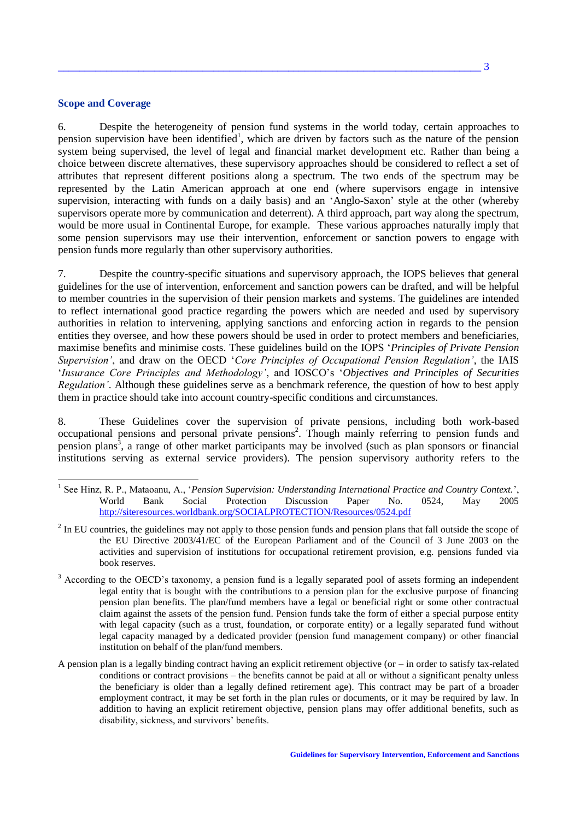# **Scope and Coverage**

6. Despite the heterogeneity of pension fund systems in the world today, certain approaches to pension supervision have been identified<sup>1</sup>, which are driven by factors such as the nature of the pension system being supervised, the level of legal and financial market development etc. Rather than being a choice between discrete alternatives, these supervisory approaches should be considered to reflect a set of attributes that represent different positions along a spectrum. The two ends of the spectrum may be represented by the Latin American approach at one end (where supervisors engage in intensive supervision, interacting with funds on a daily basis) and an 'Anglo-Saxon' style at the other (whereby supervisors operate more by communication and deterrent). A third approach, part way along the spectrum, would be more usual in Continental Europe, for example. These various approaches naturally imply that some pension supervisors may use their intervention, enforcement or sanction powers to engage with pension funds more regularly than other supervisory authorities.

7. Despite the country-specific situations and supervisory approach, the IOPS believes that general guidelines for the use of intervention, enforcement and sanction powers can be drafted, and will be helpful to member countries in the supervision of their pension markets and systems. The guidelines are intended to reflect international good practice regarding the powers which are needed and used by supervisory authorities in relation to intervening, applying sanctions and enforcing action in regards to the pension entities they oversee, and how these powers should be used in order to protect members and beneficiaries, maximise benefits and minimise costs. These guidelines build on the IOPS '*Principles of Private Pension Supervision'*, and draw on the OECD '*Core Principles of Occupational Pension Regulation'*, the IAIS '*Insurance Core Principles and Methodology'*, and IOSCO's '*Objectives and Principles of Securities Regulation'*. Although these guidelines serve as a benchmark reference, the question of how to best apply them in practice should take into account country-specific conditions and circumstances.

8. These Guidelines cover the supervision of private pensions, including both work-based occupational pensions and personal private pensions 2 . Though mainly referring to pension funds and pension plans 3 , a range of other market participants may be involved (such as plan sponsors or financial institutions serving as external service providers). The pension supervisory authority refers to the

- 1 See Hinz, R. P., Mataoanu, A., '*Pension Supervision: Understanding International Practice and Country Context.*', World Bank Social Protection Discussion Paper No. 0524, May 2005 <http://siteresources.worldbank.org/SOCIALPROTECTION/Resources/0524.pdf>
- $2 \text{ In EU countries, the guidelines may not apply to those pension funds and pension plans that fall outside the scope of }$ the EU Directive 2003/41/EC of the European Parliament and of the Council of 3 June 2003 on the activities and supervision of institutions for occupational retirement provision, e.g. pensions funded via book reserves.
- <sup>3</sup> According to the OECD's taxonomy, a pension fund is a legally separated pool of assets forming an independent legal entity that is bought with the contributions to a pension plan for the exclusive purpose of financing pension plan benefits. The plan/fund members have a legal or beneficial right or some other contractual claim against the assets of the pension fund. Pension funds take the form of either a special purpose entity with legal capacity (such as a trust, foundation, or corporate entity) or a legally separated fund without legal capacity managed by a dedicated provider (pension fund management company) or other financial institution on behalf of the plan/fund members.
- A pension plan is a legally binding contract having an explicit retirement objective (or in order to satisfy tax-related conditions or contract provisions – the benefits cannot be paid at all or without a significant penalty unless the beneficiary is older than a legally defined retirement age). This contract may be part of a broader employment contract, it may be set forth in the plan rules or documents, or it may be required by law. In addition to having an explicit retirement objective, pension plans may offer additional benefits, such as disability, sickness, and survivors' benefits.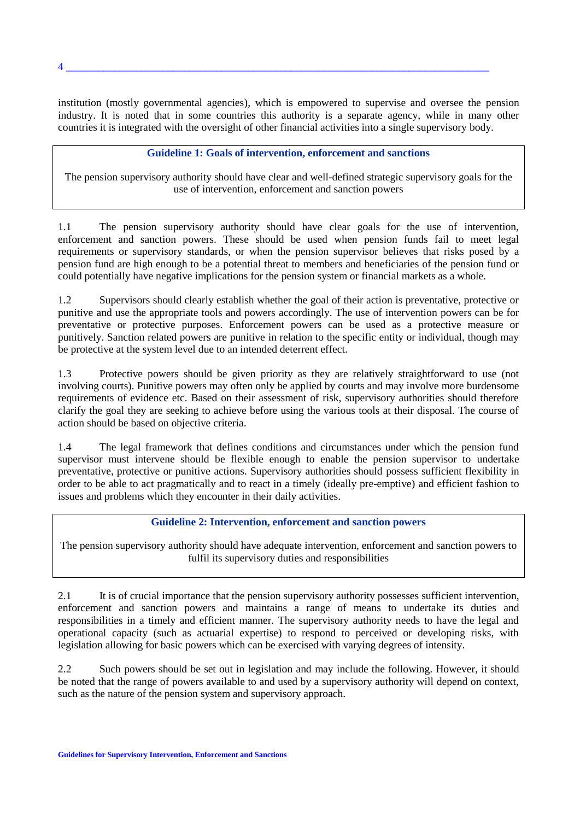institution (mostly governmental agencies), which is empowered to supervise and oversee the pension industry. It is noted that in some countries this authority is a separate agency, while in many other countries it is integrated with the oversight of other financial activities into a single supervisory body.

#### **Guideline 1: Goals of intervention, enforcement and sanctions**

The pension supervisory authority should have clear and well-defined strategic supervisory goals for the use of intervention, enforcement and sanction powers

1.1 The pension supervisory authority should have clear goals for the use of intervention, enforcement and sanction powers. These should be used when pension funds fail to meet legal requirements or supervisory standards, or when the pension supervisor believes that risks posed by a pension fund are high enough to be a potential threat to members and beneficiaries of the pension fund or could potentially have negative implications for the pension system or financial markets as a whole.

1.2 Supervisors should clearly establish whether the goal of their action is preventative, protective or punitive and use the appropriate tools and powers accordingly. The use of intervention powers can be for preventative or protective purposes. Enforcement powers can be used as a protective measure or punitively. Sanction related powers are punitive in relation to the specific entity or individual, though may be protective at the system level due to an intended deterrent effect.

1.3 Protective powers should be given priority as they are relatively straightforward to use (not involving courts). Punitive powers may often only be applied by courts and may involve more burdensome requirements of evidence etc. Based on their assessment of risk, supervisory authorities should therefore clarify the goal they are seeking to achieve before using the various tools at their disposal. The course of action should be based on objective criteria.

1.4 The legal framework that defines conditions and circumstances under which the pension fund supervisor must intervene should be flexible enough to enable the pension supervisor to undertake preventative, protective or punitive actions. Supervisory authorities should possess sufficient flexibility in order to be able to act pragmatically and to react in a timely (ideally pre-emptive) and efficient fashion to issues and problems which they encounter in their daily activities.

## **Guideline 2: Intervention, enforcement and sanction powers**

The pension supervisory authority should have adequate intervention, enforcement and sanction powers to fulfil its supervisory duties and responsibilities

2.1 It is of crucial importance that the pension supervisory authority possesses sufficient intervention, enforcement and sanction powers and maintains a range of means to undertake its duties and responsibilities in a timely and efficient manner. The supervisory authority needs to have the legal and operational capacity (such as actuarial expertise) to respond to perceived or developing risks, with legislation allowing for basic powers which can be exercised with varying degrees of intensity.

2.2 Such powers should be set out in legislation and may include the following. However, it should be noted that the range of powers available to and used by a supervisory authority will depend on context, such as the nature of the pension system and supervisory approach.

4 \_\_\_\_\_\_\_\_\_\_\_\_\_\_\_\_\_\_\_\_\_\_\_\_\_\_\_\_\_\_\_\_\_\_\_\_\_\_\_\_\_\_\_\_\_\_\_\_\_\_\_\_\_\_\_\_\_\_\_\_\_\_\_\_\_\_\_\_\_\_\_\_\_\_\_\_\_\_\_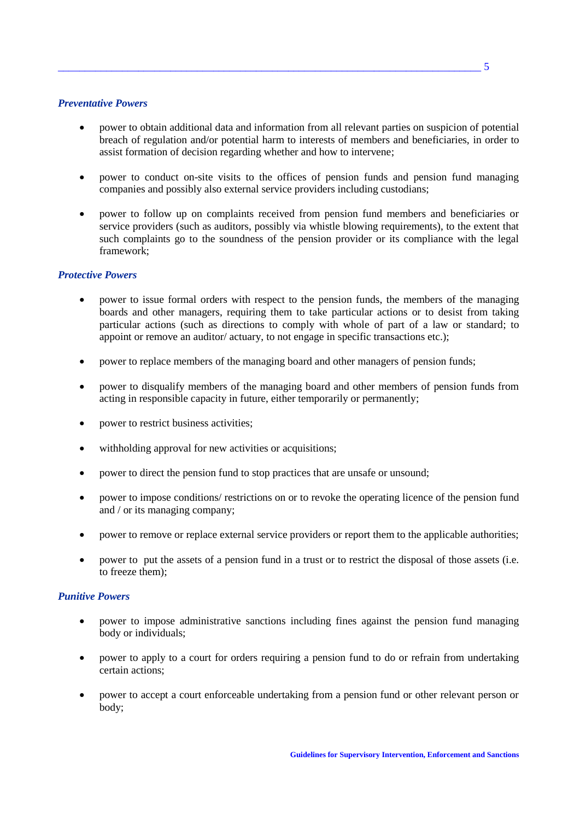# *Preventative Powers*

- power to obtain additional data and information from all relevant parties on suspicion of potential breach of regulation and/or potential harm to interests of members and beneficiaries, in order to assist formation of decision regarding whether and how to intervene;
- power to conduct on-site visits to the offices of pension funds and pension fund managing companies and possibly also external service providers including custodians;
- power to follow up on complaints received from pension fund members and beneficiaries or service providers (such as auditors, possibly via whistle blowing requirements), to the extent that such complaints go to the soundness of the pension provider or its compliance with the legal framework;

# *Protective Powers*

- power to issue formal orders with respect to the pension funds, the members of the managing boards and other managers, requiring them to take particular actions or to desist from taking particular actions (such as directions to comply with whole of part of a law or standard; to appoint or remove an auditor/ actuary, to not engage in specific transactions etc.);
- power to replace members of the managing board and other managers of pension funds;
- power to disqualify members of the managing board and other members of pension funds from acting in responsible capacity in future, either temporarily or permanently;
- power to restrict business activities;
- withholding approval for new activities or acquisitions;
- power to direct the pension fund to stop practices that are unsafe or unsound;
- power to impose conditions/ restrictions on or to revoke the operating licence of the pension fund and / or its managing company;
- power to remove or replace external service providers or report them to the applicable authorities;
- power to put the assets of a pension fund in a trust or to restrict the disposal of those assets (i.e. to freeze them);

#### *Punitive Powers*

- power to impose administrative sanctions including fines against the pension fund managing body or individuals;
- power to apply to a court for orders requiring a pension fund to do or refrain from undertaking certain actions;
- power to accept a court enforceable undertaking from a pension fund or other relevant person or body;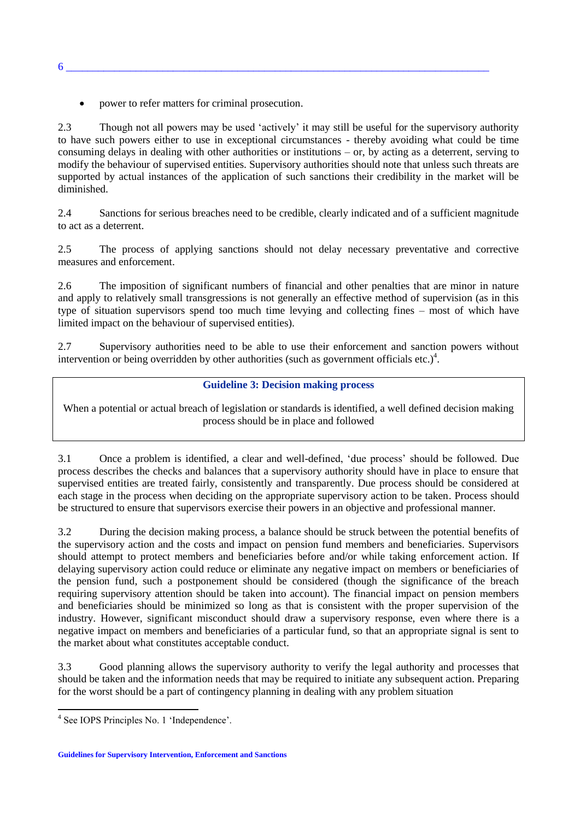• power to refer matters for criminal prosecution.

2.3 Though not all powers may be used 'actively' it may still be useful for the supervisory authority to have such powers either to use in exceptional circumstances - thereby avoiding what could be time consuming delays in dealing with other authorities or institutions – or, by acting as a deterrent, serving to modify the behaviour of supervised entities. Supervisory authorities should note that unless such threats are supported by actual instances of the application of such sanctions their credibility in the market will be diminished.

2.4 Sanctions for serious breaches need to be credible, clearly indicated and of a sufficient magnitude to act as a deterrent.

2.5 The process of applying sanctions should not delay necessary preventative and corrective measures and enforcement.

2.6 The imposition of significant numbers of financial and other penalties that are minor in nature and apply to relatively small transgressions is not generally an effective method of supervision (as in this type of situation supervisors spend too much time levying and collecting fines – most of which have limited impact on the behaviour of supervised entities).

2.7 Supervisory authorities need to be able to use their enforcement and sanction powers without intervention or being overridden by other authorities (such as government officials etc.)<sup>4</sup>.

### **Guideline 3: Decision making process**

When a potential or actual breach of legislation or standards is identified, a well defined decision making process should be in place and followed

3.1 Once a problem is identified, a clear and well-defined, 'due process' should be followed. Due process describes the checks and balances that a supervisory authority should have in place to ensure that supervised entities are treated fairly, consistently and transparently. Due process should be considered at each stage in the process when deciding on the appropriate supervisory action to be taken. Process should be structured to ensure that supervisors exercise their powers in an objective and professional manner.

3.2 During the decision making process, a balance should be struck between the potential benefits of the supervisory action and the costs and impact on pension fund members and beneficiaries. Supervisors should attempt to protect members and beneficiaries before and/or while taking enforcement action. If delaying supervisory action could reduce or eliminate any negative impact on members or beneficiaries of the pension fund, such a postponement should be considered (though the significance of the breach requiring supervisory attention should be taken into account). The financial impact on pension members and beneficiaries should be minimized so long as that is consistent with the proper supervision of the industry. However, significant misconduct should draw a supervisory response, even where there is a negative impact on members and beneficiaries of a particular fund, so that an appropriate signal is sent to the market about what constitutes acceptable conduct.

3.3 Good planning allows the supervisory authority to verify the legal authority and processes that should be taken and the information needs that may be required to initiate any subsequent action. Preparing for the worst should be a part of contingency planning in dealing with any problem situation

 $\overline{\phantom{a}}$ 

6 \_\_\_\_\_\_\_\_\_\_\_\_\_\_\_\_\_\_\_\_\_\_\_\_\_\_\_\_\_\_\_\_\_\_\_\_\_\_\_\_\_\_\_\_\_\_\_\_\_\_\_\_\_\_\_\_\_\_\_\_\_\_\_\_\_\_\_\_\_\_\_\_\_\_\_\_\_\_\_

<sup>4</sup> See IOPS Principles No. 1 'Independence'.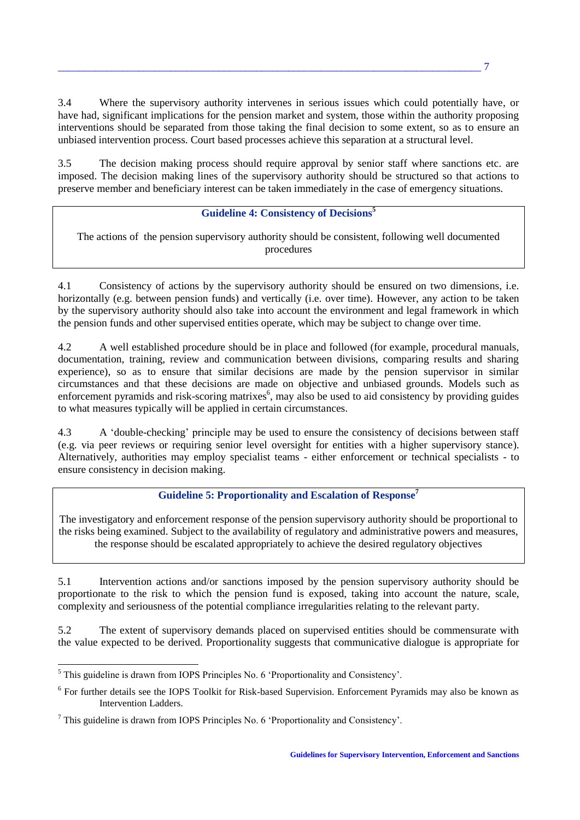3.4 Where the supervisory authority intervenes in serious issues which could potentially have, or have had, significant implications for the pension market and system, those within the authority proposing interventions should be separated from those taking the final decision to some extent, so as to ensure an unbiased intervention process. Court based processes achieve this separation at a structural level.

3.5 The decision making process should require approval by senior staff where sanctions etc. are imposed. The decision making lines of the supervisory authority should be structured so that actions to preserve member and beneficiary interest can be taken immediately in the case of emergency situations.

# **Guideline 4: Consistency of Decisions<sup>5</sup>**

The actions of the pension supervisory authority should be consistent, following well documented procedures

4.1 Consistency of actions by the supervisory authority should be ensured on two dimensions, i.e. horizontally (e.g. between pension funds) and vertically (i.e. over time). However, any action to be taken by the supervisory authority should also take into account the environment and legal framework in which the pension funds and other supervised entities operate, which may be subject to change over time.

4.2 A well established procedure should be in place and followed (for example, procedural manuals, documentation, training, review and communication between divisions, comparing results and sharing experience), so as to ensure that similar decisions are made by the pension supervisor in similar circumstances and that these decisions are made on objective and unbiased grounds. Models such as enforcement pyramids and risk-scoring matrixes<sup>6</sup>, may also be used to aid consistency by providing guides to what measures typically will be applied in certain circumstances.

4.3 A 'double-checking' principle may be used to ensure the consistency of decisions between staff (e.g. via peer reviews or requiring senior level oversight for entities with a higher supervisory stance). Alternatively, authorities may employ specialist teams - either enforcement or technical specialists - to ensure consistency in decision making.

# **Guideline 5: Proportionality and Escalation of Response<sup>7</sup>**

The investigatory and enforcement response of the pension supervisory authority should be proportional to the risks being examined. Subject to the availability of regulatory and administrative powers and measures, the response should be escalated appropriately to achieve the desired regulatory objectives

5.1 Intervention actions and/or sanctions imposed by the pension supervisory authority should be proportionate to the risk to which the pension fund is exposed, taking into account the nature, scale, complexity and seriousness of the potential compliance irregularities relating to the relevant party.

5.2 The extent of supervisory demands placed on supervised entities should be commensurate with the value expected to be derived. Proportionality suggests that communicative dialogue is appropriate for

 $\overline{a}$ 

 $<sup>5</sup>$  This guideline is drawn from IOPS Principles No. 6 'Proportionality and Consistency'.</sup>

<sup>&</sup>lt;sup>6</sup> For further details see the IOPS Toolkit for Risk-based Supervision. Enforcement Pyramids may also be known as Intervention Ladders.

 $<sup>7</sup>$  This guideline is drawn from IOPS Principles No. 6 'Proportionality and Consistency'.</sup>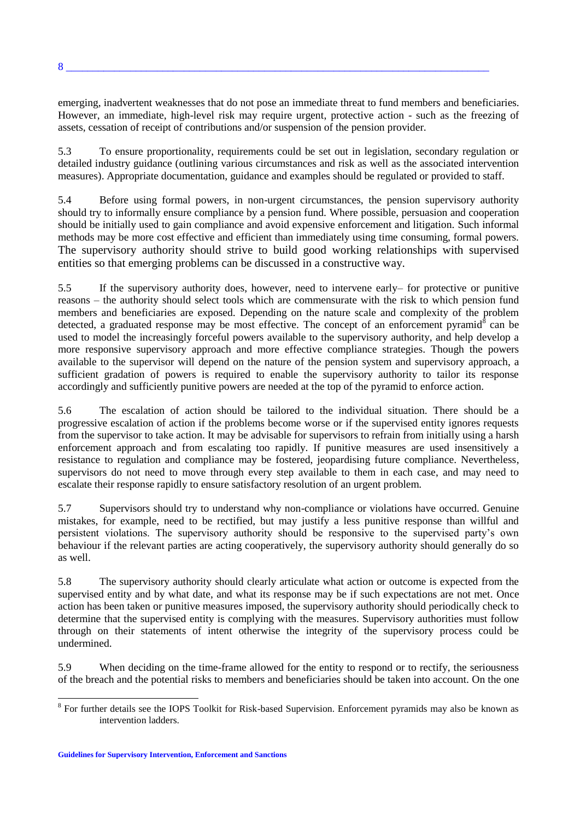emerging, inadvertent weaknesses that do not pose an immediate threat to fund members and beneficiaries. However, an immediate, high-level risk may require urgent, protective action - such as the freezing of assets, cessation of receipt of contributions and/or suspension of the pension provider.

5.3 To ensure proportionality, requirements could be set out in legislation, secondary regulation or detailed industry guidance (outlining various circumstances and risk as well as the associated intervention measures). Appropriate documentation, guidance and examples should be regulated or provided to staff.

5.4 Before using formal powers, in non-urgent circumstances, the pension supervisory authority should try to informally ensure compliance by a pension fund. Where possible, persuasion and cooperation should be initially used to gain compliance and avoid expensive enforcement and litigation. Such informal methods may be more cost effective and efficient than immediately using time consuming, formal powers. The supervisory authority should strive to build good working relationships with supervised entities so that emerging problems can be discussed in a constructive way.

5.5 If the supervisory authority does, however, need to intervene early– for protective or punitive reasons – the authority should select tools which are commensurate with the risk to which pension fund members and beneficiaries are exposed. Depending on the nature scale and complexity of the problem detected, a graduated response may be most effective. The concept of an enforcement pyramid $\delta$  can be used to model the increasingly forceful powers available to the supervisory authority, and help develop a more responsive supervisory approach and more effective compliance strategies. Though the powers available to the supervisor will depend on the nature of the pension system and supervisory approach, a sufficient gradation of powers is required to enable the supervisory authority to tailor its response accordingly and sufficiently punitive powers are needed at the top of the pyramid to enforce action.

5.6 The escalation of action should be tailored to the individual situation. There should be a progressive escalation of action if the problems become worse or if the supervised entity ignores requests from the supervisor to take action. It may be advisable for supervisors to refrain from initially using a harsh enforcement approach and from escalating too rapidly. If punitive measures are used insensitively a resistance to regulation and compliance may be fostered, jeopardising future compliance. Nevertheless, supervisors do not need to move through every step available to them in each case, and may need to escalate their response rapidly to ensure satisfactory resolution of an urgent problem.

5.7 Supervisors should try to understand why non-compliance or violations have occurred. Genuine mistakes, for example, need to be rectified, but may justify a less punitive response than willful and persistent violations. The supervisory authority should be responsive to the supervised party's own behaviour if the relevant parties are acting cooperatively, the supervisory authority should generally do so as well.

5.8 The supervisory authority should clearly articulate what action or outcome is expected from the supervised entity and by what date, and what its response may be if such expectations are not met. Once action has been taken or punitive measures imposed, the supervisory authority should periodically check to determine that the supervised entity is complying with the measures. Supervisory authorities must follow through on their statements of intent otherwise the integrity of the supervisory process could be undermined.

5.9 When deciding on the time-frame allowed for the entity to respond or to rectify, the seriousness of the breach and the potential risks to members and beneficiaries should be taken into account. On the one

**Guidelines for Supervisory Intervention, Enforcement and Sanctions**

<sup>&</sup>lt;sup>8</sup> For further details see the IOPS Toolkit for Risk-based Supervision. Enforcement pyramids may also be known as intervention ladders.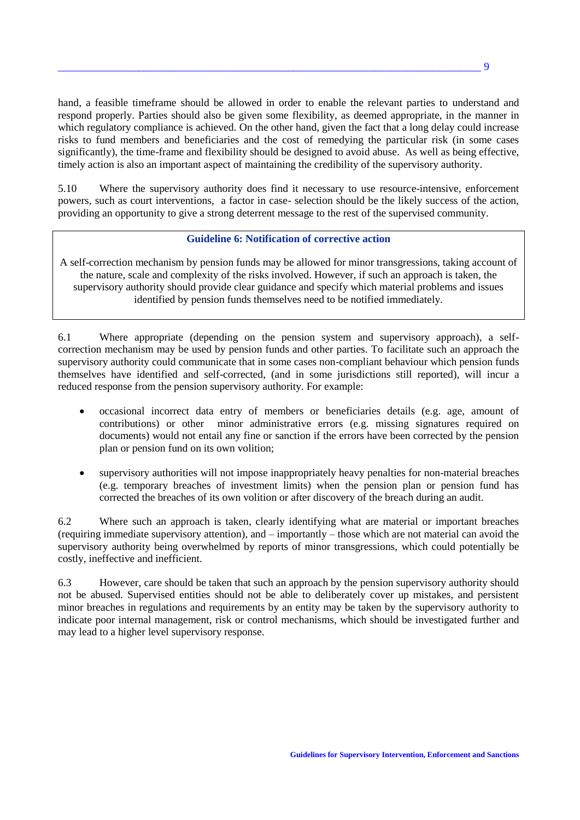hand, a feasible timeframe should be allowed in order to enable the relevant parties to understand and respond properly. Parties should also be given some flexibility, as deemed appropriate, in the manner in which regulatory compliance is achieved. On the other hand, given the fact that a long delay could increase risks to fund members and beneficiaries and the cost of remedying the particular risk (in some cases significantly), the time-frame and flexibility should be designed to avoid abuse. As well as being effective, timely action is also an important aspect of maintaining the credibility of the supervisory authority.

5.10 Where the supervisory authority does find it necessary to use resource-intensive, enforcement powers, such as court interventions, a factor in case- selection should be the likely success of the action, providing an opportunity to give a strong deterrent message to the rest of the supervised community.

### **Guideline 6: Notification of corrective action**

A self-correction mechanism by pension funds may be allowed for minor transgressions, taking account of the nature, scale and complexity of the risks involved. However, if such an approach is taken, the supervisory authority should provide clear guidance and specify which material problems and issues identified by pension funds themselves need to be notified immediately.

6.1 Where appropriate (depending on the pension system and supervisory approach), a selfcorrection mechanism may be used by pension funds and other parties. To facilitate such an approach the supervisory authority could communicate that in some cases non-compliant behaviour which pension funds themselves have identified and self-corrected, (and in some jurisdictions still reported), will incur a reduced response from the pension supervisory authority. For example:

- occasional incorrect data entry of members or beneficiaries details (e.g. age, amount of contributions) or other minor administrative errors (e.g. missing signatures required on documents) would not entail any fine or sanction if the errors have been corrected by the pension plan or pension fund on its own volition;
- supervisory authorities will not impose inappropriately heavy penalties for non-material breaches (e.g. temporary breaches of investment limits) when the pension plan or pension fund has corrected the breaches of its own volition or after discovery of the breach during an audit.

6.2 Where such an approach is taken, clearly identifying what are material or important breaches (requiring immediate supervisory attention), and – importantly – those which are not material can avoid the supervisory authority being overwhelmed by reports of minor transgressions, which could potentially be costly, ineffective and inefficient.

6.3 However, care should be taken that such an approach by the pension supervisory authority should not be abused. Supervised entities should not be able to deliberately cover up mistakes, and persistent minor breaches in regulations and requirements by an entity may be taken by the supervisory authority to indicate poor internal management, risk or control mechanisms, which should be investigated further and may lead to a higher level supervisory response.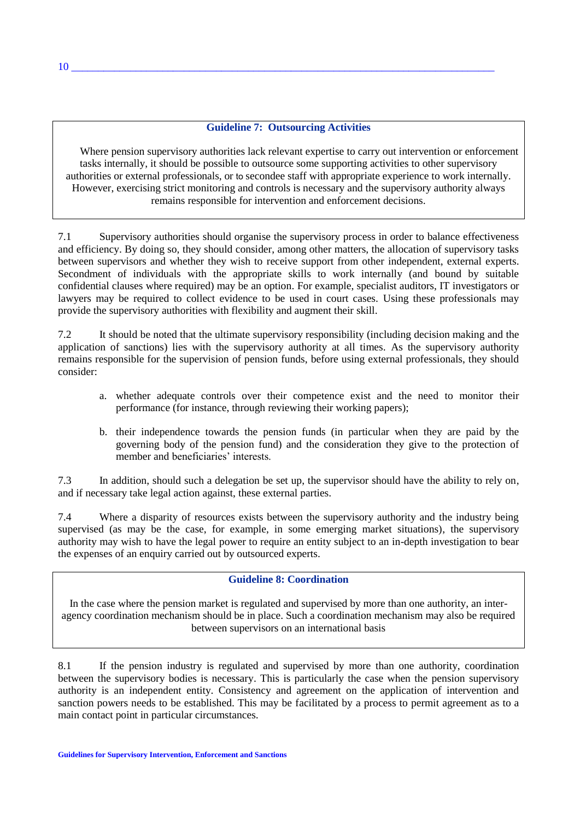# **Guideline 7: Outsourcing Activities**

Where pension supervisory authorities lack relevant expertise to carry out intervention or enforcement tasks internally, it should be possible to outsource some supporting activities to other supervisory authorities or external professionals, or to secondee staff with appropriate experience to work internally. However, exercising strict monitoring and controls is necessary and the supervisory authority always remains responsible for intervention and enforcement decisions.

7.1 Supervisory authorities should organise the supervisory process in order to balance effectiveness and efficiency. By doing so, they should consider, among other matters, the allocation of supervisory tasks between supervisors and whether they wish to receive support from other independent, external experts. Secondment of individuals with the appropriate skills to work internally (and bound by suitable confidential clauses where required) may be an option. For example, specialist auditors, IT investigators or lawyers may be required to collect evidence to be used in court cases. Using these professionals may provide the supervisory authorities with flexibility and augment their skill.

7.2 It should be noted that the ultimate supervisory responsibility (including decision making and the application of sanctions) lies with the supervisory authority at all times. As the supervisory authority remains responsible for the supervision of pension funds, before using external professionals, they should consider:

- a. whether adequate controls over their competence exist and the need to monitor their performance (for instance, through reviewing their working papers);
- b. their independence towards the pension funds (in particular when they are paid by the governing body of the pension fund) and the consideration they give to the protection of member and beneficiaries' interests.

7.3 In addition, should such a delegation be set up, the supervisor should have the ability to rely on, and if necessary take legal action against, these external parties.

7.4 Where a disparity of resources exists between the supervisory authority and the industry being supervised (as may be the case, for example, in some emerging market situations), the supervisory authority may wish to have the legal power to require an entity subject to an in-depth investigation to bear the expenses of an enquiry carried out by outsourced experts.

### **Guideline 8: Coordination**

In the case where the pension market is regulated and supervised by more than one authority, an interagency coordination mechanism should be in place. Such a coordination mechanism may also be required between supervisors on an international basis

8.1 If the pension industry is regulated and supervised by more than one authority, coordination between the supervisory bodies is necessary. This is particularly the case when the pension supervisory authority is an independent entity. Consistency and agreement on the application of intervention and sanction powers needs to be established. This may be facilitated by a process to permit agreement as to a main contact point in particular circumstances.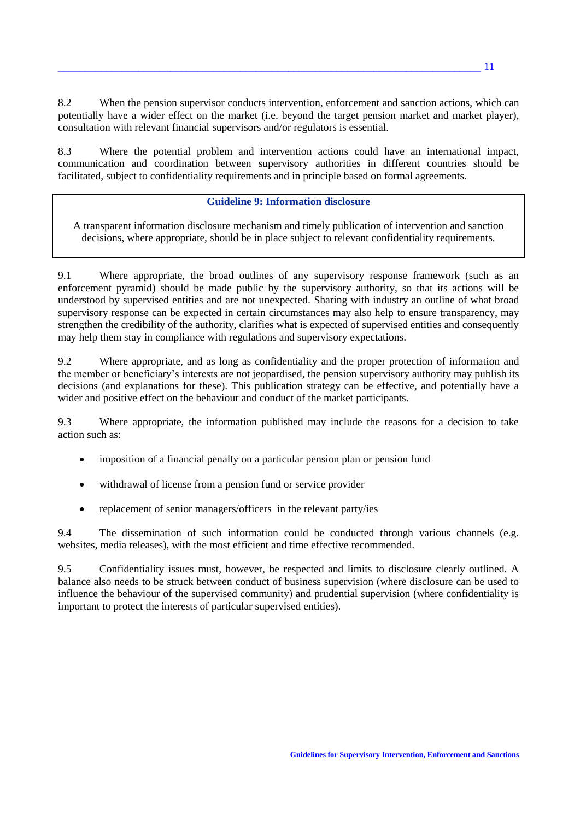8.2 When the pension supervisor conducts intervention, enforcement and sanction actions, which can potentially have a wider effect on the market (i.e. beyond the target pension market and market player), consultation with relevant financial supervisors and/or regulators is essential.

8.3 Where the potential problem and intervention actions could have an international impact, communication and coordination between supervisory authorities in different countries should be facilitated, subject to confidentiality requirements and in principle based on formal agreements.

### **Guideline 9: Information disclosure**

A transparent information disclosure mechanism and timely publication of intervention and sanction decisions, where appropriate, should be in place subject to relevant confidentiality requirements.

9.1 Where appropriate, the broad outlines of any supervisory response framework (such as an enforcement pyramid) should be made public by the supervisory authority, so that its actions will be understood by supervised entities and are not unexpected. Sharing with industry an outline of what broad supervisory response can be expected in certain circumstances may also help to ensure transparency, may strengthen the credibility of the authority, clarifies what is expected of supervised entities and consequently may help them stay in compliance with regulations and supervisory expectations.

9.2 Where appropriate, and as long as confidentiality and the proper protection of information and the member or beneficiary's interests are not jeopardised, the pension supervisory authority may publish its decisions (and explanations for these). This publication strategy can be effective, and potentially have a wider and positive effect on the behaviour and conduct of the market participants.

9.3 Where appropriate, the information published may include the reasons for a decision to take action such as:

- imposition of a financial penalty on a particular pension plan or pension fund
- withdrawal of license from a pension fund or service provider
- replacement of senior managers/officers in the relevant party/ies

9.4 The dissemination of such information could be conducted through various channels (e.g. websites, media releases), with the most efficient and time effective recommended.

9.5 Confidentiality issues must, however, be respected and limits to disclosure clearly outlined. A balance also needs to be struck between conduct of business supervision (where disclosure can be used to influence the behaviour of the supervised community) and prudential supervision (where confidentiality is important to protect the interests of particular supervised entities).